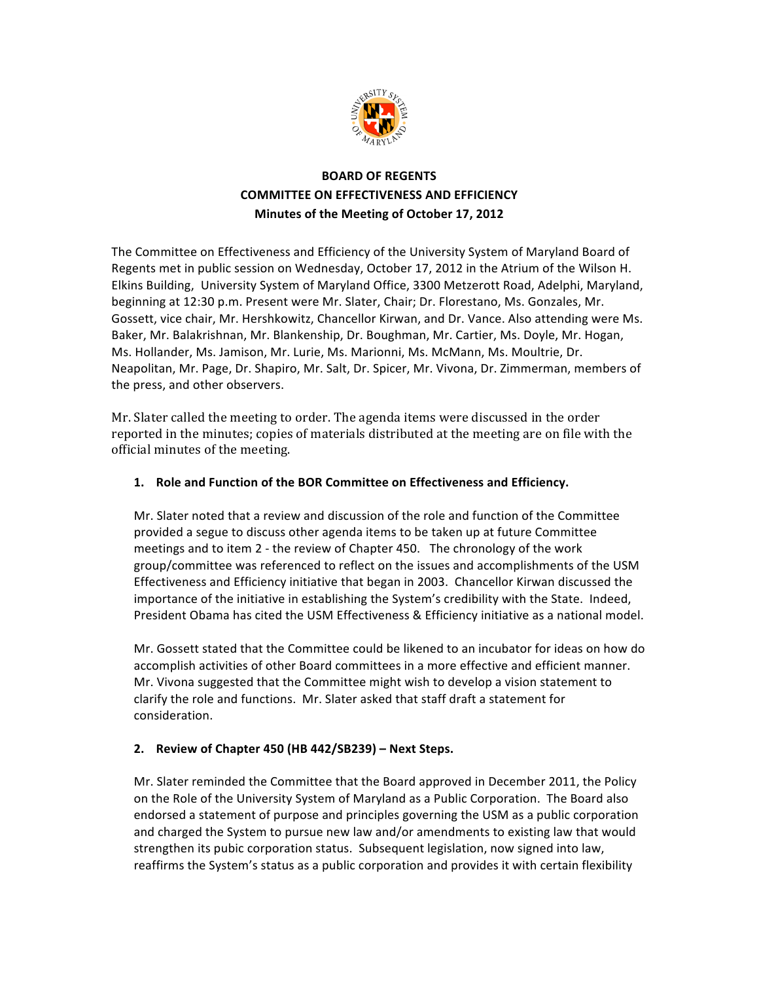

# **BOARD OF REGENTS COMMITTEE ON EFFECTIVENESS AND EFFICIENCY Minutes of the Meeting of October 17, 2012**

The Committee on Effectiveness and Efficiency of the University System of Maryland Board of Regents met in public session on Wednesday, October 17, 2012 in the Atrium of the Wilson H. Elkins Building, University System of Maryland Office, 3300 Metzerott Road, Adelphi, Maryland, beginning at 12:30 p.m. Present were Mr. Slater, Chair; Dr. Florestano, Ms. Gonzales, Mr. Gossett, vice chair, Mr. Hershkowitz, Chancellor Kirwan, and Dr. Vance. Also attending were Ms. Baker, Mr. Balakrishnan, Mr. Blankenship, Dr. Boughman, Mr. Cartier, Ms. Doyle, Mr. Hogan, Ms. Hollander, Ms. Jamison, Mr. Lurie, Ms. Marionni, Ms. McMann, Ms. Moultrie, Dr. Neapolitan, Mr. Page, Dr. Shapiro, Mr. Salt, Dr. Spicer, Mr. Vivona, Dr. Zimmerman, members of the press, and other observers.

Mr. Slater called the meeting to order. The agenda items were discussed in the order reported in the minutes; copies of materials distributed at the meeting are on file with the official minutes of the meeting.

### 1. Role and Function of the BOR Committee on Effectiveness and Efficiency.

Mr. Slater noted that a review and discussion of the role and function of the Committee provided a segue to discuss other agenda items to be taken up at future Committee meetings and to item  $2$  - the review of Chapter 450. The chronology of the work group/committee was referenced to reflect on the issues and accomplishments of the USM Effectiveness and Efficiency initiative that began in 2003. Chancellor Kirwan discussed the importance of the initiative in establishing the System's credibility with the State. Indeed, President Obama has cited the USM Effectiveness & Efficiency initiative as a national model.

Mr. Gossett stated that the Committee could be likened to an incubator for ideas on how do accomplish activities of other Board committees in a more effective and efficient manner. Mr. Vivona suggested that the Committee might wish to develop a vision statement to clarify the role and functions. Mr. Slater asked that staff draft a statement for consideration.

# **2. Review!of!Chapter!450!(HB!442/SB239)!– Next!Steps.**

Mr. Slater reminded the Committee that the Board approved in December 2011, the Policy on the Role of the University System of Maryland as a Public Corporation. The Board also endorsed a statement of purpose and principles governing the USM as a public corporation and charged the System to pursue new law and/or amendments to existing law that would strengthen its pubic corporation status. Subsequent legislation, now signed into law, reaffirms the System's status as a public corporation and provides it with certain flexibility